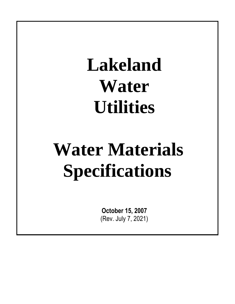# **Lakeland Water Utilities**

# **Water Materials Specifications**

**October 15, 2007**  (Rev. July 7, 2021)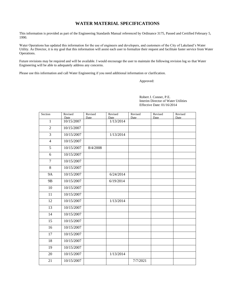#### **WATER MATERIAL SPECIFICATIONS**

This information is provided as part of the Engineering Standards Manual referenced by Ordinance 3175, Passed and Certified February 5, 1990.

Water Operations has updated this information for the use of engineers and developers, and customers of the City of Lakeland's Water Utility. As Director, it is my goal that this information will assist each user to formalize their request and facilitate faster service from Water Operations.

Future revisions may be required and will be available. I would encourage the user to maintain the following revision log so that Water Engineering will be able to adequately address any concerns.

Please use this information and call Water Engineering if you need additional information or clarification.

Approved:

 Robert J. Conner, P.E. Interim Director of Water Utilities Effective Date: 01/16/2014

| Section        | Revised            | Revised  | Revised           | Revised  | Revised | Revised |
|----------------|--------------------|----------|-------------------|----------|---------|---------|
| $\overline{1}$ | Date<br>10/15/2007 | Date     | Date<br>1/13/2014 | Date     | Date    | Date    |
| $\overline{2}$ | 10/15/2007         |          |                   |          |         |         |
| 3              | 10/15/2007         |          | 1/13/2014         |          |         |         |
| $\overline{4}$ | 10/15/2007         |          |                   |          |         |         |
| 5              | 10/15/2007         | 8/4/2008 |                   |          |         |         |
| 6              | 10/15/2007         |          |                   |          |         |         |
| $\overline{7}$ | 10/15/2007         |          |                   |          |         |         |
| $8\,$          | 10/15/2007         |          |                   |          |         |         |
| <b>9A</b>      | 10/15/2007         |          | 6/24/2014         |          |         |         |
| 9 <sub>B</sub> | 10/15/2007         |          | 6/19/2014         |          |         |         |
| 10             | 10/15/2007         |          |                   |          |         |         |
| 11             | 10/15/2007         |          |                   |          |         |         |
| 12             | 10/15/2007         |          | 1/13/2014         |          |         |         |
| 13             | 10/15/2007         |          |                   |          |         |         |
| 14             | 10/15/2007         |          |                   |          |         |         |
| 15             | 10/15/2007         |          |                   |          |         |         |
| 16             | 10/15/2007         |          |                   |          |         |         |
| 17             | 10/15/2007         |          |                   |          |         |         |
| 18             | 10/15/2007         |          |                   |          |         |         |
| 19             | 10/15/2007         |          |                   |          |         |         |
| 20             | 10/15/2007         |          | 1/13/2014         |          |         |         |
| 21             | 10/15/2007         |          |                   | 7/7/2021 |         |         |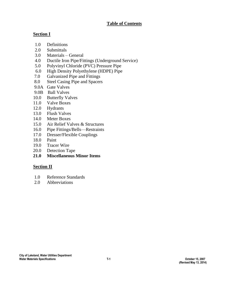## **Table of Contents**

# **Section I**

- 1.0 Definitions
- 2.0 Submittals
- 3.0 Materials General
- 4.0 Ductile Iron Pipe/Fittings (Underground Service)
- 5.0 Polyvinyl Chloride (PVC) Pressure Pipe
- 6.0 High Density Polyethylene (HDPE) Pipe
- 7.0 Galvanized Pipe and Fittings
- 8.0 Steel Casing Pipe and Spacers
- 9.0A Gate Valves
- 9.0B Ball Valves
- 10.0 Butterfly Valves
- 11.0 Valve Boxes
- 12.0 Hydrants
- 13.0 Flush Valves
- 14.0 Meter Boxes
- 15.0 Air Relief Valves & Structures
- 16.0 Pipe Fittings/Bells—Restraints
- 17.0 Dresser/Flexible Couplings
- 18.0 Paint
- 19.0 Tracer Wire
- 20.0 Detection Tape
- **21.0 Miscellaneous Minor Items**

# **Section II**

- 1.0 Reference Standards
- 2.0 Abbreviations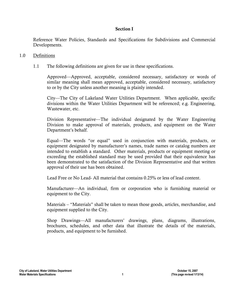#### Section I

Reference Water Policies, Standards and Specifications for Subdivisions and Commercial Developments.

#### 1.0 Definitions

1.1 The following definitions are given for use in these specifications.

Approved—Approved, acceptable, considered necessary, satisfactory or words of similar meaning shall mean approved, acceptable, considered necessary, satisfactory to or by the City unless another meaning is plainly intended.

City—The City of Lakeland Water Utilities Department. When applicable, specific divisions within the Water Utilities Department will be referenced; e.g. Engineering, Wastewater, etc.

Division Representative—The individual designated by the Water Engineering Division to make approval of materials, products, and equipment on the Water Department's behalf.

Equal—The words "or equal" used in conjunction with materials, products, or equipment designated by manufacturer's names, trade names or catalog numbers are intended to establish a standard. Other materials, products or equipment meeting or exceeding the established standard may be used provided that their equivalence has been demonstrated to the satisfaction of the Division Representative and that written approval of their use has been obtained.

Lead Free or No Lead- All material that contains 0.25% or less of lead content.

Manufacturer—An individual, firm or corporation who is furnishing material or equipment to the City.

Materials – "Materials" shall be taken to mean those goods, articles, merchandise, and equipment supplied to the City.

Shop Drawings—All manufacturers' drawings, plans, diagrams, illustrations, brochures, schedules, and other data that illustrate the details of the materials, products, and equipment to be furnished.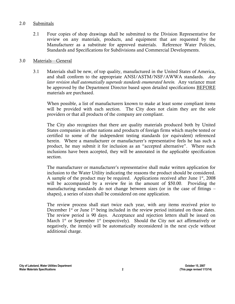#### 2.0 Submittals

2.1 Four copies of shop drawings shall be submitted to the Division Representative for review on any materials, products, and equipment that are requested by the Manufacturer as a substitute for approved materials. Reference Water Policies, Standards and Specifications for Subdivisions and Commercial Developments.

#### 3.0 Materials—General

3.1 Materials shall be new, of top quality, manufactured in the United States of America, and shall conform to the appropriate ANSI/ASTM/NSF/AWWA standards. *Any*  later revision shall automatically supersede standards enumerated herein. Any variance must be approved by the Department Director based upon detailed specifications BEFORE materials are purchased.

When possible, a list of manufacturers known to make at least some compliant items will be provided with each section. The City does not claim they are the sole providers or that all products of the company are compliant.

The City also recognizes that there are quality materials produced both by United States companies in other nations and products of foreign firms which maybe tested or certified to some of the independent testing standards (or equivalent) referenced herein. Where a manufacturer or manufacturer's representative feels he has such a product, he may submit it for inclusion as an "accepted alternative". Where such inclusions have been accepted, they will be annotated in the applicable specification section.

The manufacturer or manufacturer's representative shall make written application for inclusion to the Water Utility indicating the reasons the product should be considered. A sample of the product may be required. Applications received after June  $1<sup>st</sup>$ , 2008 will be accompanied by a review fee in the amount of \$50.00. Providing the manufacturing standards do not change between sizes (or in the case of fittings – shapes), a series of sizes shall be considered on one application.

The review process shall start twice each year, with any items received prior to December  $1<sup>st</sup>$  or June  $1<sup>st</sup>$  being included in the review period initiated on those dates. The review period is 90 days. Acceptance and rejection letters shall be issued on March  $1<sup>st</sup>$  or September  $1<sup>st</sup>$  (respectively). Should the City not act affirmatively or negatively, the item(s) will be automatically reconsidered in the next cycle without additional charge.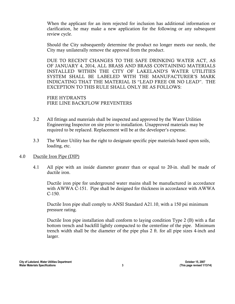When the applicant for an item rejected for inclusion has additional information or clarification, he may make a new application for the following or any subsequent review cycle.

Should the City subsequently determine the product no longer meets our needs, the City may unilaterally remove the approval from the product.

DUE TO RECENT CHANGES TO THE SAFE DRINKING WATER ACT, AS OF JANUARY 4, 2014, ALL BRASS AND BRASS CONTAINING MATERIALS INSTALLED WITHIN THE CITY OF LAKELAND'S WATER UTILITIES SYSTEM SHALL BE LABELED WITH THE MANUFACTURER'S MARK INDICATING THAT THE MATERIAL IS "LEAD FREE OR NO LEAD". THE EXCEPTION TO THIS RULE SHALL ONLY BE AS FOLLOWS:

FIRE HYDRANTS FIRE LINE BACKFLOW PREVENTERS

- 3.2 All fittings and materials shall be inspected and approved by the Water Utilities Engineering Inspector on site prior to installation. Unapproved materials may be required to be replaced. Replacement will be at the developer's expense.
- 3.3 The Water Utility has the right to designate specific pipe materials based upon soils, loading, etc.

## 4.0 Ductile Iron Pipe (DIP)

4.1 All pipe with an inside diameter greater than or equal to 20-in. shall be made of ductile iron.

Ductile iron pipe for underground water mains shall be manufactured in accordance with AWWA C-151. Pipe shall be designed for thickness in accordance with AWWA C-150.

Ductile Iron pipe shall comply to ANSI Standard A21.10, with a 150 psi minimum pressure rating.

Ductile Iron pipe installation shall conform to laying condition Type 2 (B) with a flat bottom trench and backfill lightly compacted to the centerline of the pipe. Minimum trench width shall be the diameter of the pipe plus 2 ft. for all pipe sizes 4-inch and larger.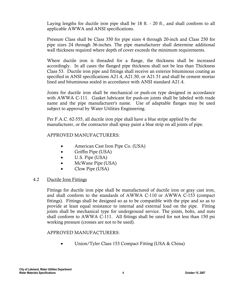Laying lengths for ductile iron pipe shall be 18 ft. - 20 ft., and shall conform to all applicable AWWA and ANSI specifications.

Pressure Class shall be Class 350 for pipe sizes 4 through 20-inch and Class 250 for pipe sizes 24 through 36-inches. The pipe manufacturer shall determine additional wall thickness required where depth of cover exceeds the minimum requirements.

Where ductile iron is threaded for a flange, the thickness shall be increased accordingly. In all cases the flanged pipe thickness shall not be less than Thickness Class 53. Ductile iron pipe and fittings shall receive an exterior bituminous coating as specified in ANSI specifications A21.4, A21.50, or A21.51 and shall be cement mortar lined and bituminous sealed in accordance with ANSI standard A21.4.

Joints for ductile iron shall be mechanical or push-on type designed in accordance with AWWA C-111. Gasket lubricant for push-on joints shall be labeled with trade name and the pipe manufacturer's name. Use of adaptable flanges may be used subject to approval by Water Utilities Engineering.

Per F.A.C. 62-555, all ductile iron pipe shall have a blue stripe applied by the manufacturer, or the contractor shall spray paint a blue strip on all joints of pipe.

# APPROVED MANUFACTURERS:

- American Cast Iron Pipe Co. (USA)
- Griffin Pipe (USA)
- U.S. Pipe (USA)
- McWane Pipe (USA)
- Clow Pipe (USA)

## 4.2 Ductile Iron Fittings

Fittings for ductile iron pipe shall be manufactured of ductile iron or gray cast iron, and shall conform to the standards of AWWA C-110 or AWWA C-153 (compact fittings). Fittings shall be designed so as to be compatible with the pipe and so as to provide at least equal resistance to internal and external load on the pipe. Fitting joints shall be mechanical type for underground service. The joints, bolts, and nuts shall conform to AWWA C-111. All fittings shall be rated for not less than 150 psi working pressure (crosses are not to be used).

## APPROVED MANUFACTURERS:

• Union/Tyler Class 153 Compact Fitting (USA & China)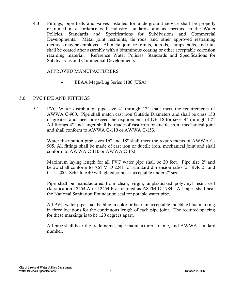4.3 Fittings, pipe bells and valves installed for underground service shall be properly restrained in accordance with industry standards, and as specified in the Water Policies, Standards and Specifications for Subdivisions and Commercial Developments. Metal joint restraints, tie rods, and other approved restraining methods may be employed. All metal joint restraints, tie rods, clamps, bolts, and nuts shall be coated after assembly with a bituminous coating or other acceptable corrosion retarding material. Reference Water Policies, Standards and Specifications for Subdivisions and Commercial Developments.

#### APPROVED MANUFACTURERS:

• EBAA Mega-Lug Series 1100 (USA)

## 5.0 PVC PIPE AND FITTINGS

5.1 PVC Water distribution pipe size 4" through 12" shall meet the requirements of AWWA C-900. Pipe shall match cast iron Outside Diameters and shall be class 150 or greater, and meet or exceed the requirements of DR 18 for sizes 4" through 12". All fittings 4" and larger shall be made of cast iron or ductile iron, mechanical joint and shall conform to AWWA C-110 or AWWA C-153.

Water distribution pipe sizes 16" and 18" shall meet the requirements of AWWA C-905. All fittings shall be made of cast iron or ductile iron, mechanical joint and shall conform to AWWA C-110 or AWWA C-153.

Maximum laying length for all PVC water pipe shall be 20 feet. Pipe size 2" and below shall conform to ASTM D-2241 for standard dimension ratio for SDR 21 and Class 200. Schedule 40 with glued joints is acceptable under 2" size.

Pipe shall be manufactured from clean, virgin, unplasticized polyvinyl resin, cell classification 12454-A or 12454-B as defined as ASTM D-1784. All pipes shall bear the National Sanitation Foundation seal for potable water pipe.

All PVC water pipe shall be blue in color or bear an acceptable indelible blue marking in three locations for the continuous length of each pipe joint. The required spacing for these markings is to be 120 degrees apart.

All pipe shall bear the trade name, pipe manufacturer's name, and AWWA standard number.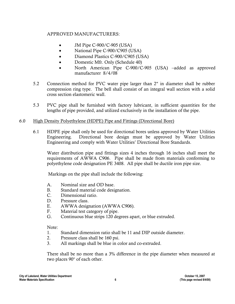- JM Pipe C-900/C-905 (USA)
- National Pipe C-900/C905 (USA)
- Diamond Plastics C-900/C905 (USA)
- Domestic Mfr. Only (Schedule 40)
- North American Pipe C-900/C-905 (USA) –added as approved manufacturer 8/4/08
- 5.2 Connection method for PVC water pipe larger than 2" in diameter shall be rubber compression ring type. The bell shall consist of an integral wall section with a solid cross section elastomeric wall.
- 5.3 PVC pipe shall be furnished with factory lubricant, in sufficient quantities for the lengths of pipe provided, and utilized exclusively in the installation of the pipe.

# 6.0 High Density Polyethylene (HDPE) Pipe and Fittings (Directional Bore)

6.1 HDPE pipe shall only be used for directional bores unless approved by Water Utilities Engineering. Directional bore design must be approved by Water Utilities Engineering and comply with Water Utilities' Directional Bore Standards.

Water distribution pipe and fittings sizes 4 inches through 16 inches shall meet the requirements of AWWA C906. Pipe shall be made from materials conforming to polyethylene code designation PE 3408. All pipe shall be ductile iron pipe size.

Markings on the pipe shall include the following:

- A. Nominal size and OD base.
- B. Standard material code designation.
- C. Dimensional ratio.
- D. Pressure class.
- E. AWWA designation (AWWA C906).
- F. Material test category of pipe.
- G. Continuous blue strips 120 degrees apart, or blue extruded.

Note:

- 1. Standard dimension ratio shall be 11 and DIP outside diameter.
- 2. Pressure class shall be 160 psi.
- 3. All markings shall be blue in color and co-extruded.

There shall be no more than a 3% difference in the pipe diameter when measured at two places 90° of each other.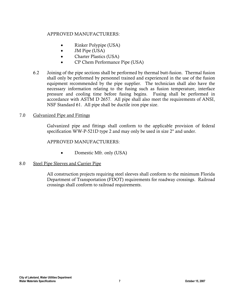- Rinker Polypipe (USA)
- JM Pipe (USA)
- Charter Plastics (USA)
- CP Chem Performance Pipe (USA)
- 6.2 Joining of the pipe sections shall be performed by thermal butt-fusion. Thermal fusion shall only be performed by personnel trained and experienced in the use of the fusion equipment recommended by the pipe supplier. The technician shall also have the necessary information relating to the fusing such as fusion temperature, interface pressure and cooling time before fusing begins. Fusing shall be performed in accordance with ASTM D 2657. All pipe shall also meet the requirements of ANSI, NSF Standard 61. All pipe shall be ductile iron pipe size.

## 7.0 Galvanized Pipe and Fittings

Galvanized pipe and fittings shall conform to the applicable provision of federal specification WW-P-521D type 2 and may only be used in size 2" and under.

## APPROVED MANUFACTURERS:

• Domestic Mfr. only (USA)

## 8.0 Steel Pipe Sleeves and Carrier Pipe

All construction projects requiring steel sleeves shall conform to the minimum Florida Department of Transportation (FDOT) requirements for roadway crossings. Railroad crossings shall conform to railroad requirements.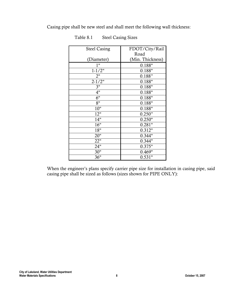Casing pipe shall be new steel and shall meet the following wall thickness:

| <b>Steel Casing</b> | FDOT/City/Rail   |  |
|---------------------|------------------|--|
|                     | Road             |  |
| (Diameter)          | (Min. Thickness) |  |
| 1"                  | 0.188"           |  |
| $1 - 1/2"$          | 0.188"           |  |
| 2"                  | 0.188"           |  |
| $2 - 1/2"$          | 0.188"           |  |
| 3"                  | 0.188"           |  |
| 4"                  | 0.188"           |  |
| 6"                  | 0.188"           |  |
| 8"                  | 0.188"           |  |
| 10"                 | 0.188"           |  |
| 12"                 | 0.250"           |  |
| 14"                 | 0.250"           |  |
| 16"                 | 0.281"           |  |
| 18"                 | 0.312"           |  |
| 20"                 | 0.344"           |  |
| 22"                 | 0.344"           |  |
| 24"                 | 0.375"           |  |
| 30"                 | 0.469"           |  |
| 36"                 | 0.531"           |  |

Table 8.1 Steel Casing Sizes

When the engineer's plans specify carrier pipe size for installation in casing pipe, said casing pipe shall be sized as follows (sizes shown for PIPE ONLY):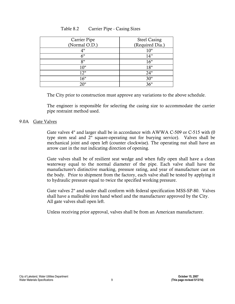| Carrier Pipe  | <b>Steel Casing</b> |
|---------------|---------------------|
| (Normal O.D.) | (Required Dia.)     |
| 4"            | 10"                 |
| 6"            | 14"                 |
| 8"            | 16"                 |
| 10"           | 18"                 |
| 12"           | 24"                 |
| 16"           | 30"                 |
| 20"           | 36"                 |

# Table 8.2 Carrier Pipe - Casing Sizes

The City prior to construction must approve any variations to the above schedule.

The engineer is responsible for selecting the casing size to accommodate the carrier pipe restraint method used.

## 9.0A Gate Valves

Gate valves 4" and larger shall be in accordance with AWWA C-509 or C-515 with (0 type stem seal and 2" square-operating nut for burying service). Valves shall be mechanical joint and open left (counter clockwise). The operating nut shall have an arrow cast in the nut indicating direction of opening.

Gate valves shall be of resilient seat wedge and when fully open shall have a clean waterway equal to the normal diameter of the pipe. Each valve shall have the manufacturer's distinctive marking, pressure rating, and year of manufacture cast on the body. Prior to shipment from the factory, each valve shall be tested by applying it to hydraulic pressure equal to twice the specified working pressure.

Gate valves 2" and under shall conform with federal specification MSS-SP-80. Valves shall have a malleable iron hand wheel and the manufacturer approved by the City. All gate valves shall open left.

Unless receiving prior approval, valves shall be from an American manufacturer.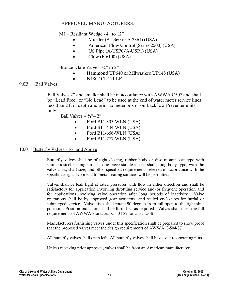MJ – Resiliant Wedge - 4" to 12"

- Mueller (A-2360 or A-2361) (USA)
- American Flow Control (Series 2500) (USA)
- US Pipe (A-USP0/A-USP1) (USA)
- Clow (F-6100) (USA)

Bronze Gate Valve –  $\frac{3}{4}$ " to 2"

- Hammond UP640 or Milwaukee UP148 (USA)
- NIBCO T-111 LF

#### 9.0B Ball Valves

 Ball Valves 2" and smaller shall be in accordance with AWWA C507 and shall be "Lead Free" or "No Lead" to be used at the end of water meter service lines less than 2 ft in depth and prior to meter box or on Backflow Preventer units only.

Ball Valves –  $\frac{3}{4}$ " – 2"

- Ford B11-333-WLN (USA)
- Ford B11-444-WLN (USA)
- Ford B11-666-WLN (USA)
- Ford B11-777-WLN (USA)

#### 10.0 Butterfly Valves - 16" and Above

Butterfly valves shall be of tight closing, rubber body or disc mount seat type with stainless steel sealing surface, one piece stainless steel shaft; long body type, with the valve class, shaft size, and other specified requirements selected in accordance with the specific design. No metal to metal seating surfaces will be permitted.

Valves shall be leak tight at rated pressures with flow in either direction and shall be satisfactory for application involving throttling service and/or frequent operation and for applications involving valve operation after long periods of inactivity. Valve operations shall be by approved gear actuators, and sealed enclosures for burial or submerged service. Valve discs shall rotate 90 degrees from full open to the tight shut position. Position indicators shall be furnished as required. Valves shall meet the full requirements of AWWA Standards C-504-87 for class 150B.

Manufacturers furnishing valves under this specification shall be prepared to show proof that the proposed valves meet the design requirements of AWWA C-504-87.

All butterfly valves shall open left. All butterfly valves shall have square operating nuts.

Unless receiving prior approval, valves shall be from an American manufacturer.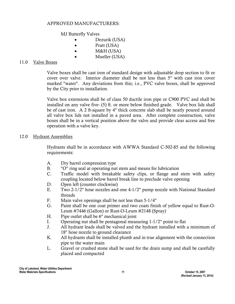#### MJ Butterfly Valves

- Dezurik (USA)
- Pratt (USA)
- M&H (USA)
- Mueller (USA)

#### 11.0 Valve Boxes

Valve boxes shall be cast iron of standard design with adjustable drop section to fit or cover over valve. Interior diameter shall be not less than 5" with cast iron cover marked "water". Any deviations from this; i.e., PVC valve boxes, shall be approved by the City prior to installation.

Valve box extensions shall be of class 50 ductile iron pipe or C900 PVC and shall be installed on any valve five- (5) ft. or more below finished grade. Valve box lids shall be of cast iron. A 2 ft-square by 4" thick concrete slab shall be neatly poured around all valve box lids not installed in a paved area. After complete construction, valve boxes shall be in a vertical position above the valve and provide clear access and free operation with a valve key.

#### 12.0 Hydrant Assemblies

Hydrants shall be in accordance with AWWA Standard C-502-85 and the following requirements:

- A. Dry barrel compression type
- B. "O" ring seal at operating nut stem and means for lubrication
- C. Traffic model with breakable safety clips, or flange and stem with safety coupling located below barrel break line to preclude valve opening
- D. Open left (counter clockwise)
- E. Two 2-1/2" hose nozzles and one 4-1/2" pump nozzle with National Standard threads
- F. Main valve openings shall be not less than 5-1/4"
- G. Paint shall be one coat primer and two coats finish of yellow equal to Rust-O-Leum #7446 (Gallon) or Rust-O-Leum #2148 (Spray)
- H. Pipe outlet shall be 6" mechanical joint
- I. Operating nut shall be pentagonal measuring 1-1/2" point to flat
- J. All hydrant leads shall be valved and the hydrant installed with a minimum of 18" hose nozzle to ground clearance
- K. All hydrants shall be installed plumb and in true alignment with the connection pipe to the water main
- L. Gravel or crushed stone shall be used for the drain sump and shall be carefully placed and compacted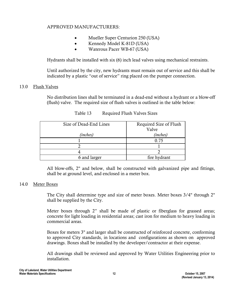- Mueller Super Centurion 250 (USA)
- Kennedy Model K-81D (USA)
- Waterous Pacer WB-67 (USA)

Hydrants shall be installed with six (6) inch lead valves using mechanical restraints.

Until authorized by the city, new hydrants must remain out of service and this shall be indicated by a plastic "out of service" ring placed on the pumper connection.

## 13.0 Flush Valves

No distribution lines shall be terminated in a dead-end without a hydrant or a blow-off (flush) valve. The required size of flush valves is outlined in the table below:

| Size of Dead-End Lines | Required Size of Flush |  |  |
|------------------------|------------------------|--|--|
|                        | Valve                  |  |  |
| (inches)               | (inches)               |  |  |
|                        | 0.75                   |  |  |
|                        |                        |  |  |
|                        |                        |  |  |
| 6 and larger           | fire hydrant           |  |  |

Table 13 Required Flush Valves Sizes

All blow-offs, 2" and below, shall be constructed with galvanized pipe and fittings, shall be at ground level, and enclosed in a meter box.

#### 14.0 Meter Boxes

The City shall determine type and size of meter boxes. Meter boxes 3/4" through 2" shall be supplied by the City.

Meter boxes through 2" shall be made of plastic or fiberglass for grassed areas; concrete for light loading in residential areas; cast iron for medium to heavy loading in commercial areas.

Boxes for meters 3" and larger shall be constructed of reinforced concrete, conforming to approved City standards, in locations and configurations as shown on approved drawings. Boxes shall be installed by the developer/contractor at their expense.

All drawings shall be reviewed and approved by Water Utilities Engineering prior to installation.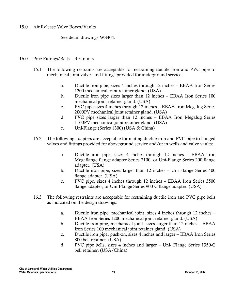#### 15.0 Air Release Valve Boxes/Vaults

See detail drawings WS404.

## 16.0 Pipe Fittings/Bells – Restraints

- 16.1 The following restraints are acceptable for restraining ductile iron and PVC pipe to mechanical joint valves and fittings provided for underground service:
	- a. Ductile iron pipe, sizes 4 inches through 12 inches EBAA Iron Series 1200 mechanical joint retainer gland. (USA)
	- b. Ductile iron pipe sizes larger than 12 inches EBAA Iron Series 100 mechanical joint retainer gland. (USA)
	- c. PVC pipe sizes 4 inches through 12 inches EBAA Iron Megalug Series 2000PV mechanical joint retainer gland. (USA)
	- d. PVC pipe sizes larger than 12 inches EBAA Iron Megalug Series 1100PV mechanical joint retainer gland. (USA)
	- e. Uni-Flange (Series 1300) (USA & China)
- 16.2 The following adapters are acceptable for mating ductile iron and PVC pipe to flanged valves and fittings provided for aboveground service and/or in wells and valve vaults:
	- a. Ductile iron pipe, sizes 4 inches through 12 inches EBAA Iron Megaflange flange adapter Series 2100, or Uni-Flange Series 200 flange adapter. (USA)
	- b. Ductile iron pipe, sizes larger than 12 inches Uni-Flange Series 400 flange adapter. (USA)
	- c. PVC pipe, sizes 4 inches through 12 inches EBAA Iron Series 3500 flange adapter, or Uni-Flange Series 900-C flange adapter. (USA)
- 16.3 The following restraints are acceptable for restraining ductile iron and PVC pipe bells as indicated on the design drawings:
	- a. Ductile iron pipe, mechanical joint, sizes 4 inches through 12 inches EBAA Iron Series 1200 mechanical joint retainer gland. (USA)
	- b. Ductile iron pipe, mechanical joint, sizes larger than 12 inches EBAA Iron Series 100 mechanical joint retainer gland. (USA)
	- c. Ductile iron pipe, push-on, sizes 4 inches and larger EBAA Iron Series 800 bell retainer. (USA)
	- d. PVC pipe bells, sizes 4 inches and larger Uni- Flange Series 1350-C bell retainer. (USA/China)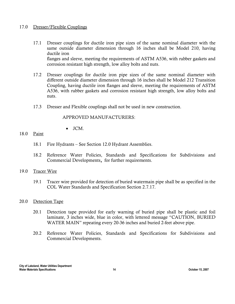#### 17.0 Dresser/Flexible Couplings

- 17.1 Dresser couplings for ductile iron pipe sizes of the same nominal diameter with the same outside diameter dimension through 16 inches shall be Model 210, having ductile iron flanges and sleeve, meeting the requirements of ASTM A536, with rubber gaskets and corrosion resistant high strength, low alloy bolts and nuts.
- 17.2 Dresser couplings for ductile iron pipe sizes of the same nominal diameter with different outside diameter dimension through 16 inches shall be Model 212 Transition Coupling, having ductile iron flanges and sleeve, meeting the requirements of ASTM A536, with rubber gaskets and corrosion resistant high strength, low alloy bolts and nuts.
- 17.3 Dresser and Flexible couplings shall not be used in new construction.

#### APPROVED MANUFACTURERS:

• JCM.

#### 18.0 Paint

- 18.1 Fire Hydrants See Section 12.0 Hydrant Assemblies.
- 18.2 Reference Water Policies, Standards and Specifications for Subdivisions and Commercial Developments, for further requirements.

#### 19.0 Tracer Wire

19.1 Tracer wire provided for detection of buried watermain pipe shall be as specified in the COL Water Standards and Specification Section 2.7.17.

#### 20.0 Detection Tape

- 20.1 Detection tape provided for early warning of buried pipe shall be plastic and foil laminate, 3 inches wide, blue in color, with lettered message "CAUTION, BURIED WATER MAIN" repeating every 20-36 inches and buried 2-feet above pipe.
- 20.2 Reference Water Policies, Standards and Specifications for Subdivisions and Commercial Developments.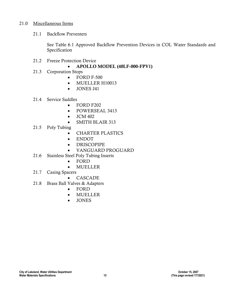#### 21.0 Miscellaneous Items

21.1 Backflow Preventers

See Table 6.1 Approved Backflow Prevention Devices in COL Water Standards and Specification

- 21.2 Freeze Protection Device
	- APOLLO MODEL (40LF-000-FPV1)
- 21.3 Corporation Stops
	- FORD F-500
	- MUELLER H10013
	- JONES J41
- 21.4 Service Saddles
	- FORD F202
	- POWERSEAL 3413
	- JCM 402
	- SMITH BLAIR 313
- 21.5 Poly Tubing
	- CHARTER PLASTICS
	- ENDOT
	- DRISCOPIPE
	- VANGUARD PROGUARD
- 21.6 Stainless Steel Poly Tubing Inserts
	- FORD
	- MUELLER
- 21.7 Casing Spacers
	- CASCADE
- 21.8 Brass Ball Valves & Adapters
	- FORD
	- MUELLER
	- JONES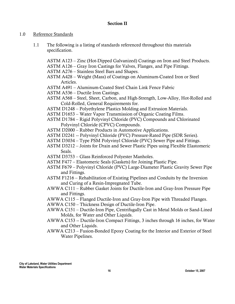## Section II

## 1.0 Reference Standards

1.1 The following is a listing of standards referenced throughout this materials specification.

ASTM A123 – Zinc (Hot-Dipped Galvanized) Coatings on Iron and Steel Products.

- ASTM A126 Gray Iron Castings for Valves, Flanges, and Pipe Fittings.
- ASTM A276 Stainless Steel Bars and Shapes.
- ASTM A428 Weight (Mass) of Coatings on Aluminum-Coated Iron or Steel Articles.
- ASTM A491 Aluminum-Coated Steel Chain Link Fence Fabric
- ASTM A536 Ductile Iron Castings.
- ASTM A568 Steel, Sheet, Carbon, and High-Strength, Low-Alloy, Hot-Rolled and Cold-Rolled, General Requirements for.
- ASTM D1248 Polyethylene Plastics Molding and Extrusion Materials.
- ASTM D1653 Water Vapor Transmission of Organic Coating Films.
- ASTM D1784 Rigid Polyvinyl Chloride (PVC) Compounds and Chlorinated Polyvinyl Chloride (CPVC) Compounds.
- ASTM D2000 Rubber Products in Automotive Applications.
- ASTM D2241 -- Polyvinyl Chloride (PVC) Pressure-Rated Pipe (SDR Series).
- ASTM D3034 Type PSM Polyvinyl Chloride (PVC) Sewer Pipe and Fittings.
- ASTM D3212 Joints for Drain and Sewer Plastic Pipes using Flexible Elastomeric Seals.
- ASTM D3753 Glass Reinforced Polyester Manholes.
- ASTM F477 Elastomeric Seals (Gaskets) for Joining Plastic Pipe.
- ASTM F679 Polyvinyl Chloride (PVC) Large-Diameter Plastic Gravity Sewer Pipe and Fittings.
- ASTM F1216 Rehabilitation of Existing Pipelines and Conduits by the Inversion and Curing of a Resin-Impregnated Tube.
- AWWA C111 Rubber Gasket Joints for Ductile-Iron and Gray-Iron Pressure Pipe and Fittings.
- AWWA C115 Flanged Ductile-Iron and Gray-Iron Pipe with Threaded Flanges.
- AWWA C150 Thickness Design of Ductile-Iron Pipe.
- AWWA C151 Ductile-Iron Pipe, Centrifugally Cast in Metal Molds or Sand-Lined Molds, for Water and Other Liquids.
- AWWA C153 -- Ductile-Iron Compact Fittings, 3 inches through 16 inches, for Water and Other Liquids.
- AWWA C213 Fusion-Bonded Epoxy Coating for the Interior and Exterior of Steel Water Pipelines.